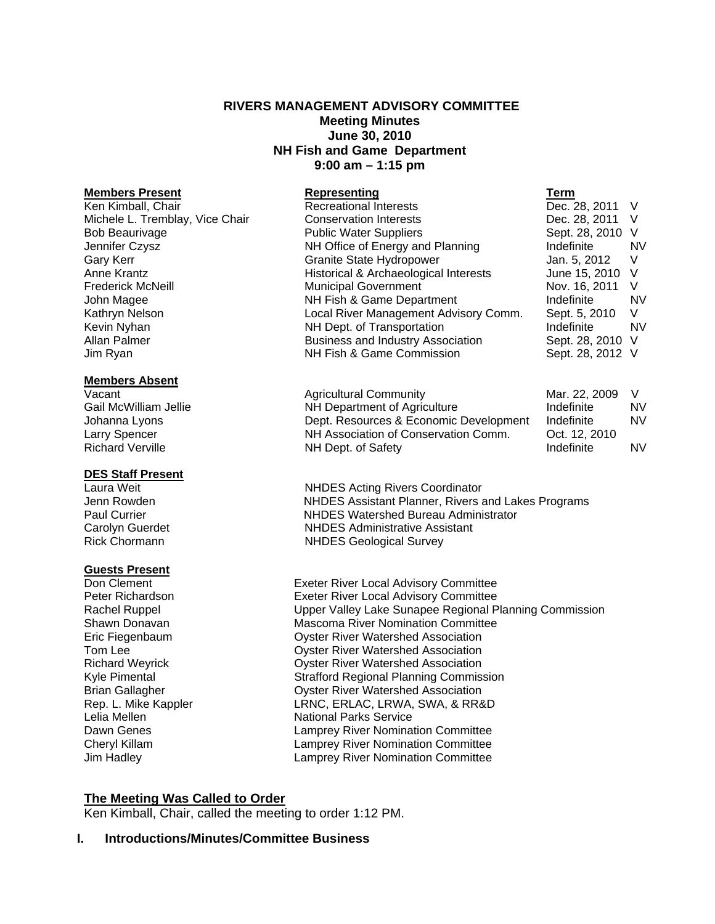# **RIVERS MANAGEMENT ADVISORY COMMITTEE Meeting Minutes June 30, 2010 NH Fish and Game Department 9:00 am – 1:15 pm**

#### **Members Absent**

# **DES Staff Present**

#### **Guests Present**

| <b>Members Present</b>          | Representing                             | Term             |           |
|---------------------------------|------------------------------------------|------------------|-----------|
| Ken Kimball, Chair              | <b>Recreational Interests</b>            | Dec. 28, 2011 V  |           |
| Michele L. Tremblay, Vice Chair | <b>Conservation Interests</b>            | Dec. 28, 2011    | V         |
| <b>Bob Beaurivage</b>           | <b>Public Water Suppliers</b>            | Sept. 28, 2010 V |           |
| Jennifer Czysz                  | NH Office of Energy and Planning         | Indefinite       | <b>NV</b> |
| Gary Kerr                       | <b>Granite State Hydropower</b>          | Jan. 5, 2012     | V         |
| Anne Krantz                     | Historical & Archaeological Interests    | June 15, 2010 V  |           |
| <b>Frederick McNeill</b>        | <b>Municipal Government</b>              | Nov. 16, 2011    | V         |
| John Magee                      | NH Fish & Game Department                | Indefinite       | <b>NV</b> |
| Kathryn Nelson                  | Local River Management Advisory Comm.    | Sept. 5, 2010    | V         |
| Kevin Nyhan                     | NH Dept. of Transportation               | Indefinite       | <b>NV</b> |
| Allan Palmer                    | <b>Business and Industry Association</b> | Sept. 28, 2010 V |           |
| Jim Ryan                        | NH Fish & Game Commission                | Sept. 28, 2012 V |           |

| Vacant                  | <b>Agricultural Community</b>          | Mar. 22. 2009 |           |
|-------------------------|----------------------------------------|---------------|-----------|
| Gail McWilliam Jellie   | NH Department of Agriculture           | Indefinite    | <b>NV</b> |
| Johanna Lyons           | Dept. Resources & Economic Development | Indefinite    | <b>NV</b> |
| Larry Spencer           | NH Association of Conservation Comm.   | Oct. 12, 2010 |           |
| <b>Richard Verville</b> | NH Dept. of Safety                     | Indefinite    | <b>NV</b> |

**NHDES Acting Rivers Coordinator** Jenn Rowden NHDES Assistant Planner, Rivers and Lakes Programs Paul Currier **NHDES** Watershed Bureau Administrator Carolyn Guerdet **NHDES** Administrative Assistant<br>
Rick Chormann<br>
NHDES Geological Survey **NHDES Geological Survey** 

**Don Clement Exeter River Local Advisory Committee Peter Richardson**<br> **Exeter River Local Advisory Committee Peter Richardson** Exeter River Local Advisory Committee Rachel Ruppel **National Exercise Sunapee Regional Planning Commission** Shawn Donavan Mascoma River Nomination Committee Eric Fiegenbaum Oyster River Watershed Association Tom Lee Oyster River Watershed Association Richard Weyrick Oyster River Watershed Association Kyle Pimental **Strafford Regional Planning Commission** Brian Gallagher **Contact Contact Contact Contact Contact Contact Contact Contact Contact Contact Contact Contact Contact Contact Contact Contact Contact Contact Contact Contact Contact Contact Contact Contact Contact Conta** Rep. L. Mike Kappler **LRNC, ERLAC, LRWA, SWA, & RR&D** Lelia Mellen National Parks Service Dawn Genes<br>
Cheryl Killam<br>
Cheryl Killam<br>
Cheryl Killam<br>
Cheryl Killam<br>
Camprey River Nomination Committee Lamprey River Nomination Committee Jim Hadley Lamprey River Nomination Committee

# **The Meeting Was Called to Order**

Ken Kimball, Chair, called the meeting to order 1:12 PM.

#### **I. Introductions/Minutes/Committee Business**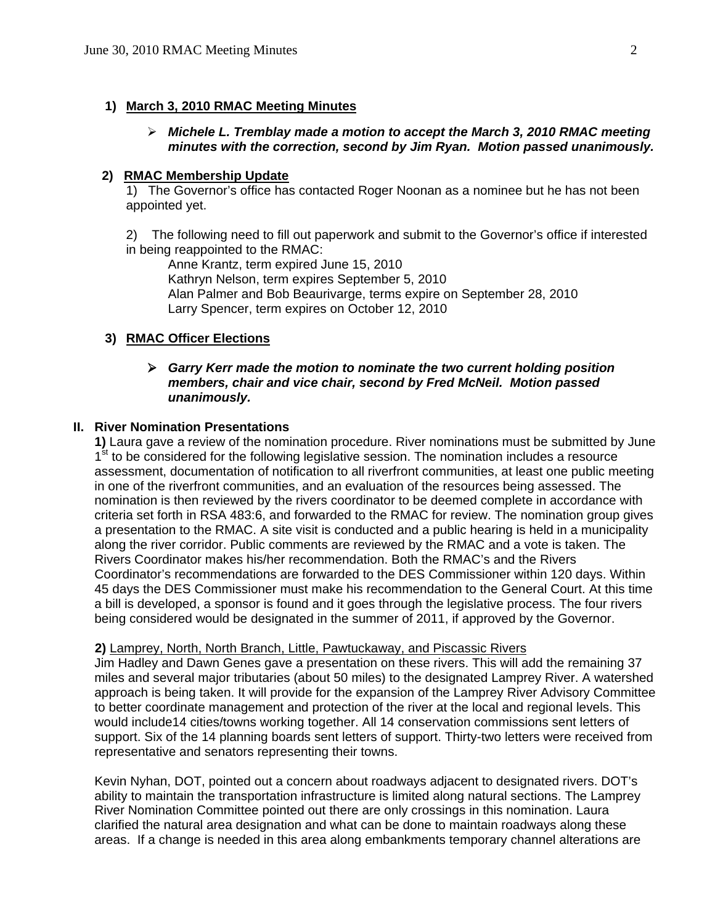# **1) March 3, 2010 RMAC Meeting Minutes**

# ¾ *Michele L. Tremblay made a motion to accept the March 3, 2010 RMAC meeting minutes with the correction, second by Jim Ryan. Motion passed unanimously.*

#### **2) RMAC Membership Update**

 1) The Governor's office has contacted Roger Noonan as a nominee but he has not been appointed yet.

2) The following need to fill out paperwork and submit to the Governor's office if interested in being reappointed to the RMAC:

 Anne Krantz, term expired June 15, 2010 Kathryn Nelson, term expires September 5, 2010 Alan Palmer and Bob Beaurivarge, terms expire on September 28, 2010 Larry Spencer, term expires on October 12, 2010

# **3) RMAC Officer Elections**

# ¾ *Garry Kerr made the motion to nominate the two current holding position members, chair and vice chair, second by Fred McNeil. Motion passed unanimously.*

# **II. River Nomination Presentations**

**1)** Laura gave a review of the nomination procedure. River nominations must be submitted by June  $1<sup>st</sup>$  to be considered for the following legislative session. The nomination includes a resource assessment, documentation of notification to all riverfront communities, at least one public meeting in one of the riverfront communities, and an evaluation of the resources being assessed. The nomination is then reviewed by the rivers coordinator to be deemed complete in accordance with criteria set forth in RSA 483:6, and forwarded to the RMAC for review. The nomination group gives a presentation to the RMAC. A site visit is conducted and a public hearing is held in a municipality along the river corridor. Public comments are reviewed by the RMAC and a vote is taken. The Rivers Coordinator makes his/her recommendation. Both the RMAC's and the Rivers Coordinator's recommendations are forwarded to the DES Commissioner within 120 days. Within 45 days the DES Commissioner must make his recommendation to the General Court. At this time a bill is developed, a sponsor is found and it goes through the legislative process. The four rivers being considered would be designated in the summer of 2011, if approved by the Governor.

#### **2)** Lamprey, North, North Branch, Little, Pawtuckaway, and Piscassic Rivers

Jim Hadley and Dawn Genes gave a presentation on these rivers. This will add the remaining 37 miles and several major tributaries (about 50 miles) to the designated Lamprey River. A watershed approach is being taken. It will provide for the expansion of the Lamprey River Advisory Committee to better coordinate management and protection of the river at the local and regional levels. This would include14 cities/towns working together. All 14 conservation commissions sent letters of support. Six of the 14 planning boards sent letters of support. Thirty-two letters were received from representative and senators representing their towns.

Kevin Nyhan, DOT, pointed out a concern about roadways adjacent to designated rivers. DOT's ability to maintain the transportation infrastructure is limited along natural sections. The Lamprey River Nomination Committee pointed out there are only crossings in this nomination. Laura clarified the natural area designation and what can be done to maintain roadways along these areas. If a change is needed in this area along embankments temporary channel alterations are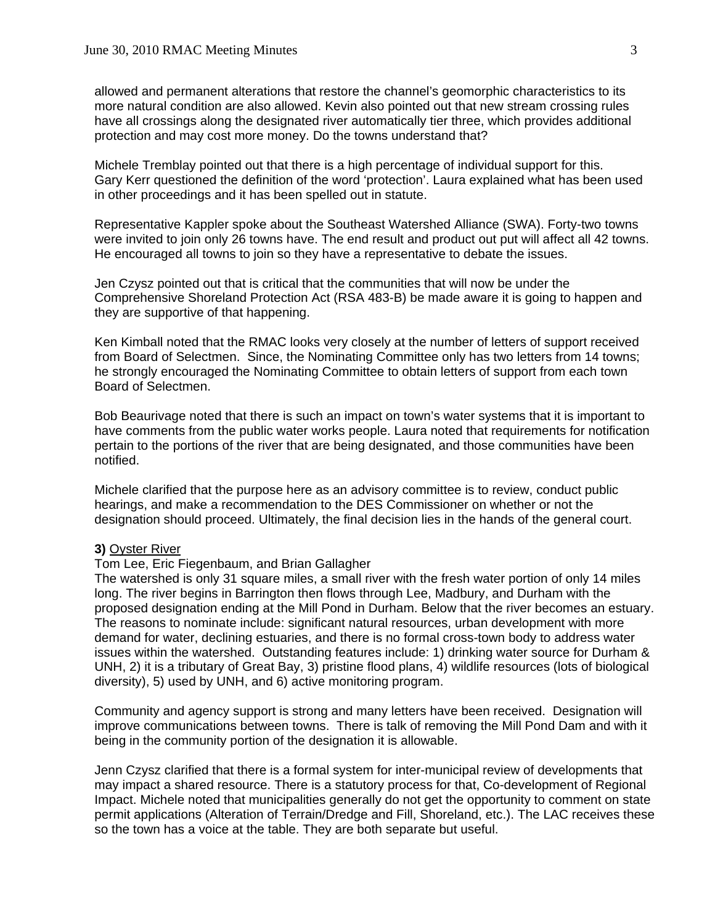allowed and permanent alterations that restore the channel's geomorphic characteristics to its more natural condition are also allowed. Kevin also pointed out that new stream crossing rules have all crossings along the designated river automatically tier three, which provides additional protection and may cost more money. Do the towns understand that?

Michele Tremblay pointed out that there is a high percentage of individual support for this. Gary Kerr questioned the definition of the word 'protection'. Laura explained what has been used in other proceedings and it has been spelled out in statute.

Representative Kappler spoke about the Southeast Watershed Alliance (SWA). Forty-two towns were invited to join only 26 towns have. The end result and product out put will affect all 42 towns. He encouraged all towns to join so they have a representative to debate the issues.

Jen Czysz pointed out that is critical that the communities that will now be under the Comprehensive Shoreland Protection Act (RSA 483-B) be made aware it is going to happen and they are supportive of that happening.

Ken Kimball noted that the RMAC looks very closely at the number of letters of support received from Board of Selectmen. Since, the Nominating Committee only has two letters from 14 towns; he strongly encouraged the Nominating Committee to obtain letters of support from each town Board of Selectmen.

Bob Beaurivage noted that there is such an impact on town's water systems that it is important to have comments from the public water works people. Laura noted that requirements for notification pertain to the portions of the river that are being designated, and those communities have been notified.

Michele clarified that the purpose here as an advisory committee is to review, conduct public hearings, and make a recommendation to the DES Commissioner on whether or not the designation should proceed. Ultimately, the final decision lies in the hands of the general court.

# **3)** Oyster River

# Tom Lee, Eric Fiegenbaum, and Brian Gallagher

The watershed is only 31 square miles, a small river with the fresh water portion of only 14 miles long. The river begins in Barrington then flows through Lee, Madbury, and Durham with the proposed designation ending at the Mill Pond in Durham. Below that the river becomes an estuary. The reasons to nominate include: significant natural resources, urban development with more demand for water, declining estuaries, and there is no formal cross-town body to address water issues within the watershed. Outstanding features include: 1) drinking water source for Durham & UNH, 2) it is a tributary of Great Bay, 3) pristine flood plans, 4) wildlife resources (lots of biological diversity), 5) used by UNH, and 6) active monitoring program.

Community and agency support is strong and many letters have been received. Designation will improve communications between towns. There is talk of removing the Mill Pond Dam and with it being in the community portion of the designation it is allowable.

Jenn Czysz clarified that there is a formal system for inter-municipal review of developments that may impact a shared resource. There is a statutory process for that, Co-development of Regional Impact. Michele noted that municipalities generally do not get the opportunity to comment on state permit applications (Alteration of Terrain/Dredge and Fill, Shoreland, etc.). The LAC receives these so the town has a voice at the table. They are both separate but useful.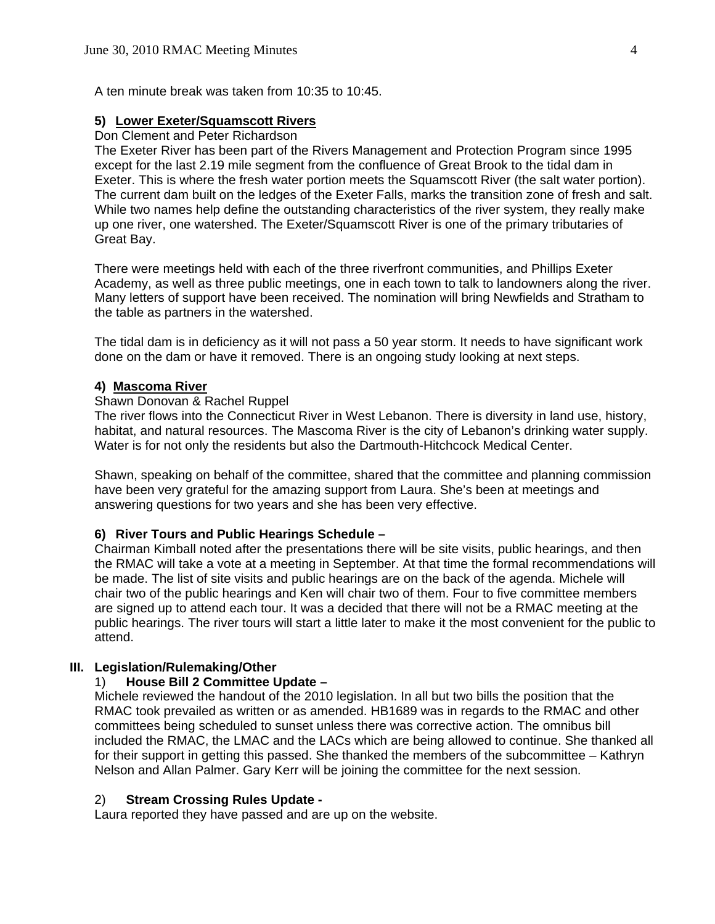A ten minute break was taken from 10:35 to 10:45.

#### **5) Lower Exeter/Squamscott Rivers**

#### Don Clement and Peter Richardson

The Exeter River has been part of the Rivers Management and Protection Program since 1995 except for the last 2.19 mile segment from the confluence of Great Brook to the tidal dam in Exeter. This is where the fresh water portion meets the Squamscott River (the salt water portion). The current dam built on the ledges of the Exeter Falls, marks the transition zone of fresh and salt. While two names help define the outstanding characteristics of the river system, they really make up one river, one watershed. The Exeter/Squamscott River is one of the primary tributaries of Great Bay.

There were meetings held with each of the three riverfront communities, and Phillips Exeter Academy, as well as three public meetings, one in each town to talk to landowners along the river. Many letters of support have been received. The nomination will bring Newfields and Stratham to the table as partners in the watershed.

The tidal dam is in deficiency as it will not pass a 50 year storm. It needs to have significant work done on the dam or have it removed. There is an ongoing study looking at next steps.

# **4) Mascoma River**

#### Shawn Donovan & Rachel Ruppel

The river flows into the Connecticut River in West Lebanon. There is diversity in land use, history, habitat, and natural resources. The Mascoma River is the city of Lebanon's drinking water supply. Water is for not only the residents but also the Dartmouth-Hitchcock Medical Center.

Shawn, speaking on behalf of the committee, shared that the committee and planning commission have been very grateful for the amazing support from Laura. She's been at meetings and answering questions for two years and she has been very effective.

# **6) River Tours and Public Hearings Schedule –**

 Chairman Kimball noted after the presentations there will be site visits, public hearings, and then the RMAC will take a vote at a meeting in September. At that time the formal recommendations will be made. The list of site visits and public hearings are on the back of the agenda. Michele will chair two of the public hearings and Ken will chair two of them. Four to five committee members are signed up to attend each tour. It was a decided that there will not be a RMAC meeting at the public hearings. The river tours will start a little later to make it the most convenient for the public to attend.

# **III. Legislation/Rulemaking/Other**

# 1) **House Bill 2 Committee Update –**

Michele reviewed the handout of the 2010 legislation. In all but two bills the position that the RMAC took prevailed as written or as amended. HB1689 was in regards to the RMAC and other committees being scheduled to sunset unless there was corrective action. The omnibus bill included the RMAC, the LMAC and the LACs which are being allowed to continue. She thanked all for their support in getting this passed. She thanked the members of the subcommittee – Kathryn Nelson and Allan Palmer. Gary Kerr will be joining the committee for the next session.

# 2) **Stream Crossing Rules Update -**

Laura reported they have passed and are up on the website.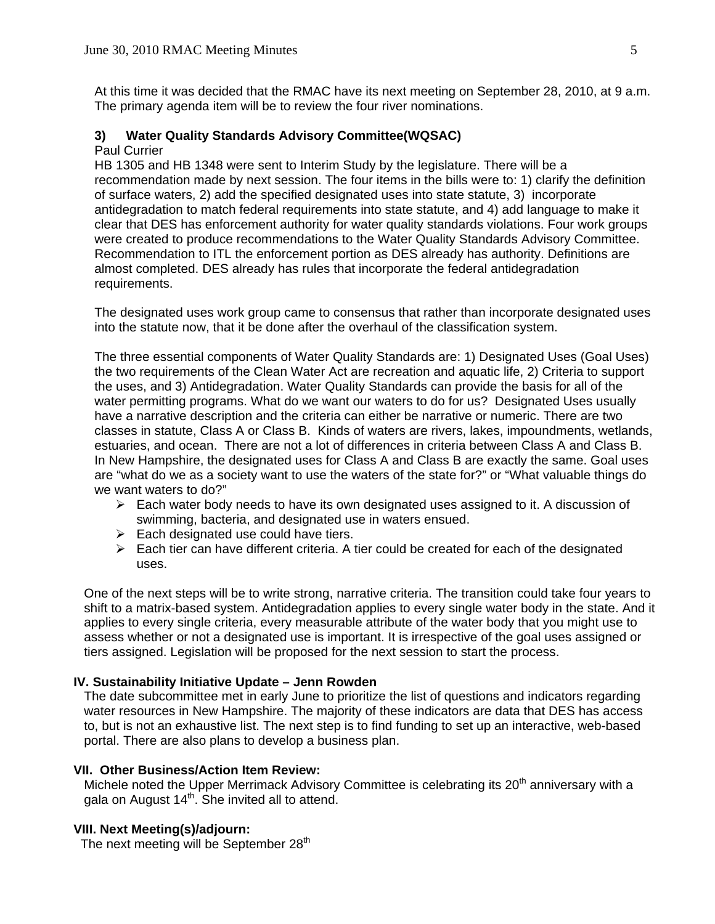At this time it was decided that the RMAC have its next meeting on September 28, 2010, at 9 a.m. The primary agenda item will be to review the four river nominations.

#### **3) Water Quality Standards Advisory Committee(WQSAC)**

#### Paul Currier

 HB 1305 and HB 1348 were sent to Interim Study by the legislature. There will be a recommendation made by next session. The four items in the bills were to: 1) clarify the definition of surface waters, 2) add the specified designated uses into state statute, 3) incorporate antidegradation to match federal requirements into state statute, and 4) add language to make it clear that DES has enforcement authority for water quality standards violations. Four work groups were created to produce recommendations to the Water Quality Standards Advisory Committee. Recommendation to ITL the enforcement portion as DES already has authority. Definitions are almost completed. DES already has rules that incorporate the federal antidegradation requirements.

 The designated uses work group came to consensus that rather than incorporate designated uses into the statute now, that it be done after the overhaul of the classification system.

The three essential components of Water Quality Standards are: 1) Designated Uses (Goal Uses) the two requirements of the Clean Water Act are recreation and aquatic life, 2) Criteria to support the uses, and 3) Antidegradation. Water Quality Standards can provide the basis for all of the water permitting programs. What do we want our waters to do for us? Designated Uses usually have a narrative description and the criteria can either be narrative or numeric. There are two classes in statute, Class A or Class B. Kinds of waters are rivers, lakes, impoundments, wetlands, estuaries, and ocean. There are not a lot of differences in criteria between Class A and Class B. In New Hampshire, the designated uses for Class A and Class B are exactly the same. Goal uses are "what do we as a society want to use the waters of the state for?" or "What valuable things do we want waters to do?"

- $\triangleright$  Each water body needs to have its own designated uses assigned to it. A discussion of swimming, bacteria, and designated use in waters ensued.
- $\triangleright$  Each designated use could have tiers.
- $\triangleright$  Each tier can have different criteria. A tier could be created for each of the designated uses.

One of the next steps will be to write strong, narrative criteria. The transition could take four years to shift to a matrix-based system. Antidegradation applies to every single water body in the state. And it applies to every single criteria, every measurable attribute of the water body that you might use to assess whether or not a designated use is important. It is irrespective of the goal uses assigned or tiers assigned. Legislation will be proposed for the next session to start the process.

# **IV. Sustainability Initiative Update – Jenn Rowden**

The date subcommittee met in early June to prioritize the list of questions and indicators regarding water resources in New Hampshire. The majority of these indicators are data that DES has access to, but is not an exhaustive list. The next step is to find funding to set up an interactive, web-based portal. There are also plans to develop a business plan.

#### **VII. Other Business/Action Item Review:**

Michele noted the Upper Merrimack Advisory Committee is celebrating its 20<sup>th</sup> anniversary with a gala on August  $14<sup>th</sup>$ . She invited all to attend.

# **VIII. Next Meeting(s)/adjourn:**

The next meeting will be September  $28<sup>th</sup>$